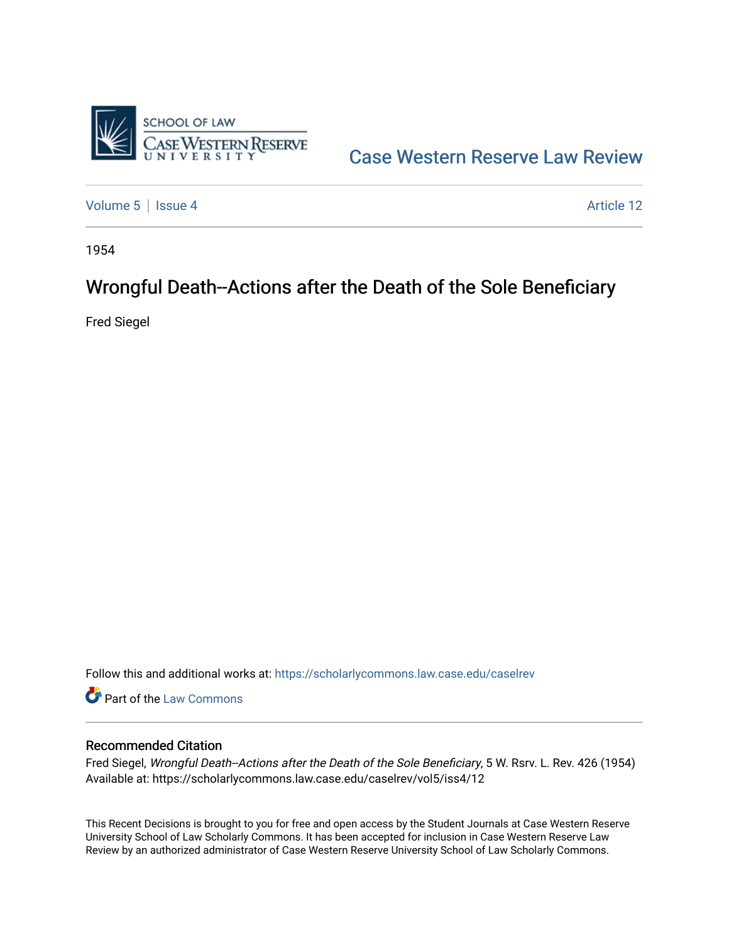

[Case Western Reserve Law Review](https://scholarlycommons.law.case.edu/caselrev) 

[Volume 5](https://scholarlycommons.law.case.edu/caselrev/vol5) | [Issue 4](https://scholarlycommons.law.case.edu/caselrev/vol5/iss4) Article 12

1954

## Wrongful Death--Actions after the Death of the Sole Beneficiary

Fred Siegel

Follow this and additional works at: [https://scholarlycommons.law.case.edu/caselrev](https://scholarlycommons.law.case.edu/caselrev?utm_source=scholarlycommons.law.case.edu%2Fcaselrev%2Fvol5%2Fiss4%2F12&utm_medium=PDF&utm_campaign=PDFCoverPages)

**Part of the [Law Commons](http://network.bepress.com/hgg/discipline/578?utm_source=scholarlycommons.law.case.edu%2Fcaselrev%2Fvol5%2Fiss4%2F12&utm_medium=PDF&utm_campaign=PDFCoverPages)** 

## Recommended Citation

Fred Siegel, Wrongful Death--Actions after the Death of the Sole Beneficiary, 5 W. Rsrv. L. Rev. 426 (1954) Available at: https://scholarlycommons.law.case.edu/caselrev/vol5/iss4/12

This Recent Decisions is brought to you for free and open access by the Student Journals at Case Western Reserve University School of Law Scholarly Commons. It has been accepted for inclusion in Case Western Reserve Law Review by an authorized administrator of Case Western Reserve University School of Law Scholarly Commons.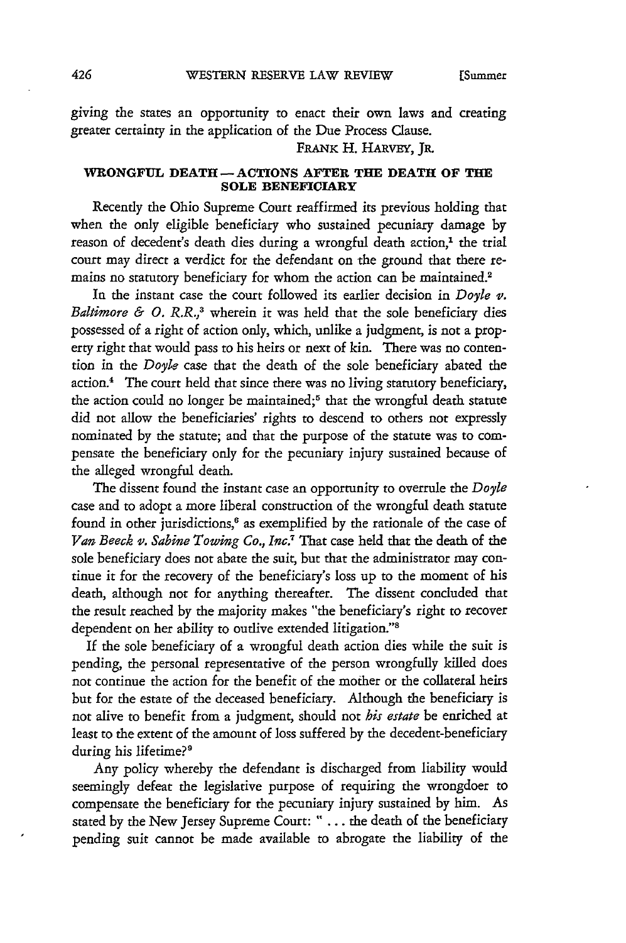giving the states an opportunity to enact their own laws and creating greater certainty in the application of the Due Process Clause.

FRANK H. **HARVEy,** JR.

## **WRONGFUL DEATH- ACTIONS AFTER THE DEATH OF THE SOLE BENEFICIARY**

Recently the Ohio Supreme Court reaffirmed its previous holding that when the only eligible beneficiary who sustained pecuniary damage by reason of decedent's death dies during a wrongful death action,<sup>1</sup> the trial court may direct a verdict for the defendant on the ground that there remains no statutory beneficiary for whom the action can be maintained.<sup>2</sup>

In the instant case the court followed its earlier decision in *Doyle v. Baltimore & 0. R.R., <sup>3</sup>*wherein it was held that the sole beneficiary dies possessed of a right of action only, which, unlike a judgment, is not a property right that would pass to his heirs or next of kin. There was no contention in the *Doyle* case that the death of the sole beneficiary abated the action.<sup>4</sup> The court held that since there was no living statutory beneficiary, the action could no longer be maintained;<sup>5</sup> that the wrongful death statute did not allow the beneficiaries' rights to descend to others not expressly nominated by the statute; and that the purpose of the statute was to compensate the beneficiary only for the pecuniary injury sustained because of the alleged wrongful death.

The dissent found the instant case an opportunity to overrule the *Doyle* case and to adopt a more liberal construction of the wrongful death statute found in other jurisdictions,<sup>6</sup> as exemplified by the rationale of the case of *Van Beeck v. Sabine Towing Co., Inc.7* That case held that the death of the sole beneficiary does not abate the suit, but that the administrator may continue it for the recovery of the beneficiary's loss up to the moment of his death, although not for anything thereafter. The dissent concluded that the result reached by the majority makes "the beneficiary's right to recover dependent on her ability to outlive extended litigation.'"s

If the sole beneficiary of a wrongful death action dies while the suit is pending, the personal representative of the person wrongfully killed does not continue the action for the benefit of the mother or the collateral heirs but for the estate of the deceased beneficiary. Although the beneficiary is not alive to benefit from a judgment, should not *his estate* be enriched at least to the extent of the amount of loss suffered by the decedent-beneficiary during his lifetime?'

Any policy whereby the defendant is discharged from liability would seemingly defeat the legislative purpose of requiring the wrongdoer to compensate the beneficiary for the pecuniary injury sustained by him. As stated by the New Jersey Supreme Court: " **. ..** the death of the beneficiary pending suit cannot be made available to abrogate the liability of the